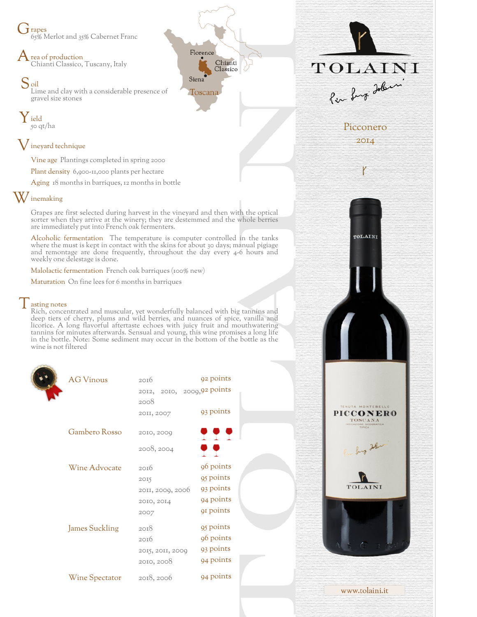$\mathbf{j}$  rapes 65% Merlot and 35% Cabernet Franc

rea of production Chianti Classico, Tuscany, Italy

S<sub>oil</sub> Lime and clay with a considerable presence of gravel size stones

Y ield 50 qt/ha

## ${\mathsf V}$  ineyard technique

Vine age Plantings completed in spring 2000

Plant density 6,900-11,000 plants per hectare

Aging 18 months in barriques, 12 months in bottle

## $\mathrm{W}$  inemaking

Grapes are first selected during harvest in the vineyard and then with the optical sorter when they arrive at the winery; they are destemmed and the whole berries are immediately put into French oak fermenters.

Florence

Toscana

Siena

Chianti

Classico

Alcoholic fermentation The temperature is computer controlled in the tanks where the must is kept in contact with the skins for about 30 days; manual pigiage and remontage are done frequently, throughout the day every 4-6 hours and weekly one delestage is done.

Malolactic fermentation French oak barriques (100% new)

Maturation On fine lees for 6 months in barriques

## $\vert$  asting notes

Rich, concentrated and muscular, yet wonderfully balanced with big tannins and deep tiers of cherry, plums and wild berries, and nuances of spice, vanilla and licorice. A long flavorful aftertaste echoes with juicy fruit and mouthwatering tannins for minutes afterwards. Sensual and young, this wine promises a long life in the bottle. Note: Some sediment may occur in the bottom of the bottle as the wine is not filtered

| <b>AG Vinous</b>      | 2016                       | 92 points |
|-----------------------|----------------------------|-----------|
|                       | 2012, 2010, 2009,92 points |           |
|                       | 2008                       |           |
|                       | 20II, 2007                 | 93 points |
| Gambero Rosso         | 2010, 2009                 | <u>.</u>  |
|                       | 2008, 2004                 | o o       |
| Wine Advocate         | 20I6                       | 96 points |
|                       | 2015                       | 95 points |
|                       | 2011, 2009, 2006           | 93 points |
|                       | 2010, 2014                 | 94 points |
|                       | 2007                       | 91 points |
|                       |                            | 95 points |
| <b>James Suckling</b> | 2018                       | 96 points |
|                       | 2016                       |           |
|                       | 2015, 2011, 2009           | 93 points |
|                       | 2010, 2008                 | 94 points |
| <b>Wine Spectator</b> | 2018, 2006                 | 94 points |
|                       |                            |           |

TOLAINI Per Lugi Jobin Picconero

2014

TOLAINI

**PICCONERO** TOSCANA

TOLAINI

www.tolaini.it